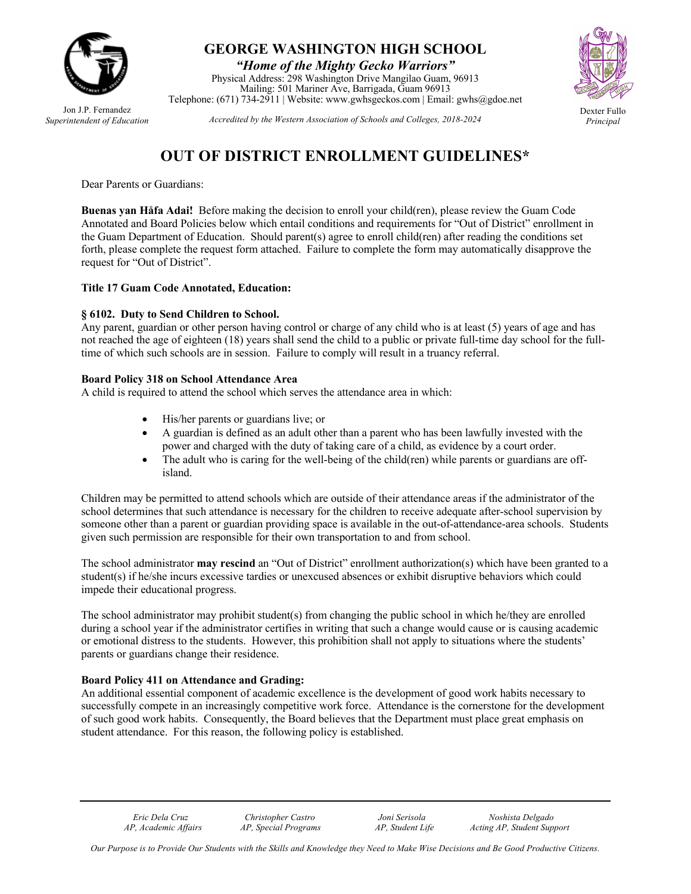

Jon J.P. Fernandez *Superintendent of Education*

## **GEORGE WASHINGTON HIGH SCHOOL**

*"Home of the Mighty Gecko Warriors"* Physical Address: 298 Washington Drive Mangilao Guam, 96913 Mailing: 501 Mariner Ave, Barrigada, Guam 96913 Telephone: (671) 734-2911 | Website: www.gwhsgeckos.com | Email: gwhs@gdoe.net



*Principal*

*Accredited by the Western Association of Schools and Colleges, 2018-2024*

# **OUT OF DISTRICT ENROLLMENT GUIDELINES\***

Dear Parents or Guardians:

**Buenas yan Håfa Adai!** Before making the decision to enroll your child(ren), please review the Guam Code Annotated and Board Policies below which entail conditions and requirements for "Out of District" enrollment in the Guam Department of Education. Should parent(s) agree to enroll child(ren) after reading the conditions set forth, please complete the request form attached. Failure to complete the form may automatically disapprove the request for "Out of District".

### **Title 17 Guam Code Annotated, Education:**

#### **§ 6102. Duty to Send Children to School.**

Any parent, guardian or other person having control or charge of any child who is at least (5) years of age and has not reached the age of eighteen (18) years shall send the child to a public or private full-time day school for the fulltime of which such schools are in session. Failure to comply will result in a truancy referral.

#### **Board Policy 318 on School Attendance Area**

A child is required to attend the school which serves the attendance area in which:

- His/her parents or guardians live; or
- A guardian is defined as an adult other than a parent who has been lawfully invested with the power and charged with the duty of taking care of a child, as evidence by a court order.
- The adult who is caring for the well-being of the child(ren) while parents or guardians are offisland.

Children may be permitted to attend schools which are outside of their attendance areas if the administrator of the school determines that such attendance is necessary for the children to receive adequate after-school supervision by someone other than a parent or guardian providing space is available in the out-of-attendance-area schools. Students given such permission are responsible for their own transportation to and from school.

The school administrator **may rescind** an "Out of District" enrollment authorization(s) which have been granted to a student(s) if he/she incurs excessive tardies or unexcused absences or exhibit disruptive behaviors which could impede their educational progress.

The school administrator may prohibit student(s) from changing the public school in which he/they are enrolled during a school year if the administrator certifies in writing that such a change would cause or is causing academic or emotional distress to the students. However, this prohibition shall not apply to situations where the students' parents or guardians change their residence.

### **Board Policy 411 on Attendance and Grading:**

An additional essential component of academic excellence is the development of good work habits necessary to successfully compete in an increasingly competitive work force. Attendance is the cornerstone for the development of such good work habits. Consequently, the Board believes that the Department must place great emphasis on student attendance. For this reason, the following policy is established.

 *Eric Dela Cruz Christopher Castro Joni Serisola Noshista Delgado AP, Academic Affairs AP, Special Programs AP, Student Life Acting AP, Student Support*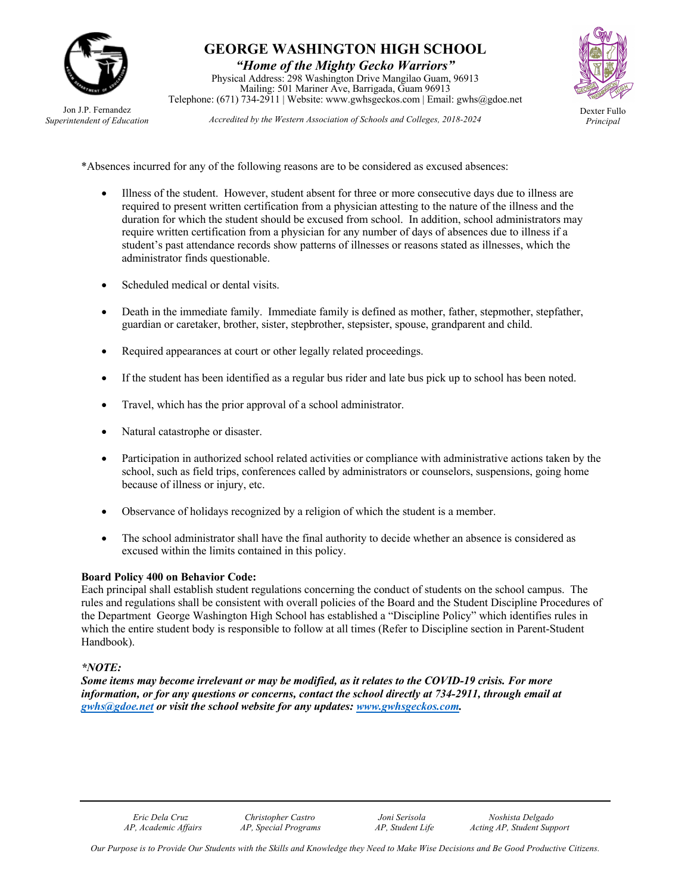

Jon J.P. Fernandez *Superintendent of Education*

# **GEORGE WASHINGTON HIGH SCHOOL**

*"Home of the Mighty Gecko Warriors"* Physical Address: 298 Washington Drive Mangilao Guam, 96913 Mailing: 501 Mariner Ave, Barrigada, Guam 96913 Telephone: (671) 734-2911 | Website: www.gwhsgeckos.com | Email: gwhs@gdoe.net



*Principal*

*Accredited by the Western Association of Schools and Colleges, 2018-2024*

\*Absences incurred for any of the following reasons are to be considered as excused absences:

- Illness of the student. However, student absent for three or more consecutive days due to illness are required to present written certification from a physician attesting to the nature of the illness and the duration for which the student should be excused from school. In addition, school administrators may require written certification from a physician for any number of days of absences due to illness if a student's past attendance records show patterns of illnesses or reasons stated as illnesses, which the administrator finds questionable.
- Scheduled medical or dental visits.
- Death in the immediate family. Immediate family is defined as mother, father, stepmother, stepfather, guardian or caretaker, brother, sister, stepbrother, stepsister, spouse, grandparent and child.
- Required appearances at court or other legally related proceedings.
- If the student has been identified as a regular bus rider and late bus pick up to school has been noted.
- Travel, which has the prior approval of a school administrator.
- Natural catastrophe or disaster.
- Participation in authorized school related activities or compliance with administrative actions taken by the school, such as field trips, conferences called by administrators or counselors, suspensions, going home because of illness or injury, etc.
- Observance of holidays recognized by a religion of which the student is a member.
- The school administrator shall have the final authority to decide whether an absence is considered as excused within the limits contained in this policy.

### **Board Policy 400 on Behavior Code:**

Each principal shall establish student regulations concerning the conduct of students on the school campus. The rules and regulations shall be consistent with overall policies of the Board and the Student Discipline Procedures of the Department George Washington High School has established a "Discipline Policy" which identifies rules in which the entire student body is responsible to follow at all times (Refer to Discipline section in Parent-Student Handbook).

### *\*NOTE:*

Some items may become irrelevant or may be modified, as it relates to the COVID-19 crisis. For more *information, or for any questions or concerns, contact the school directly at 734-2911, through email at gwhs@gdoe.net or visit the school website for any updates: www.gwhsgeckos.com.*

 *Eric Dela Cruz Christopher Castro Joni Serisola Noshista Delgado AP, Academic Affairs AP, Special Programs AP, Student Life Acting AP, Student Support*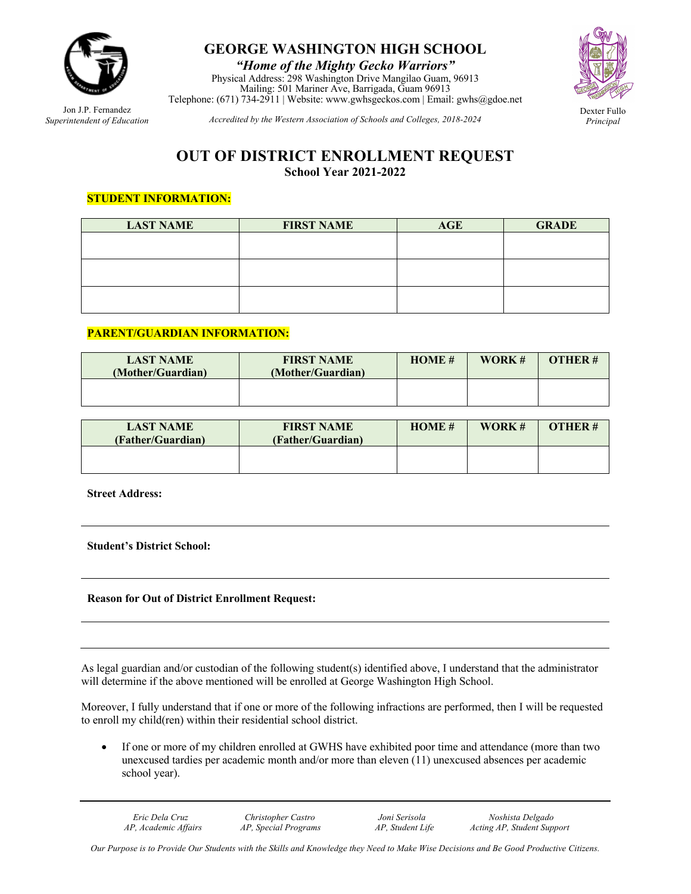

**GEORGE WASHINGTON HIGH SCHOOL**

*"Home of the Mighty Gecko Warriors"* Physical Address: 298 Washington Drive Mangilao Guam, 96913 Mailing: 501 Mariner Ave, Barrigada, Guam 96913 Telephone: (671) 734-2911 | Website: www.gwhsgeckos.com | Email: gwhs@gdoe.net



*Principal*

Jon J.P. Fernandez *Superintendent of Education*

*Accredited by the Western Association of Schools and Colleges, 2018-2024*

### **OUT OF DISTRICT ENROLLMENT REQUEST School Year 2021-2022**

### **STUDENT INFORMATION:**

| <b>LAST NAME</b> | <b>FIRST NAME</b> | <b>AGE</b> | <b>GRADE</b> |  |
|------------------|-------------------|------------|--------------|--|
|                  |                   |            |              |  |
|                  |                   |            |              |  |
|                  |                   |            |              |  |
|                  |                   |            |              |  |
|                  |                   |            |              |  |
|                  |                   |            |              |  |

### **PARENT/GUARDIAN INFORMATION:**

| <b>LAST NAME</b><br>(Mother/Guardian) | <b>FIRST NAME</b><br>(Mother/Guardian) | HOME# | WORK# | <b>OTHER#</b> |
|---------------------------------------|----------------------------------------|-------|-------|---------------|
|                                       |                                        |       |       |               |

| <b>LAST NAME</b><br>(Father/Guardian) | <b>FIRST NAME</b><br>(Father/Guardian) | HOME# | WORK# | OTHER# |
|---------------------------------------|----------------------------------------|-------|-------|--------|
|                                       |                                        |       |       |        |

**Street Address:**

**Student's District School:**

### **Reason for Out of District Enrollment Request:**

As legal guardian and/or custodian of the following student(s) identified above, I understand that the administrator will determine if the above mentioned will be enrolled at George Washington High School.

Moreover, I fully understand that if one or more of the following infractions are performed, then I will be requested to enroll my child(ren) within their residential school district.

• If one or more of my children enrolled at GWHS have exhibited poor time and attendance (more than two unexcused tardies per academic month and/or more than eleven (11) unexcused absences per academic school year).

 *Eric Dela Cruz Christopher Castro Joni Serisola Noshista Delgado AP, Academic Affairs AP, Special Programs AP, Student Life Acting AP, Student Support*